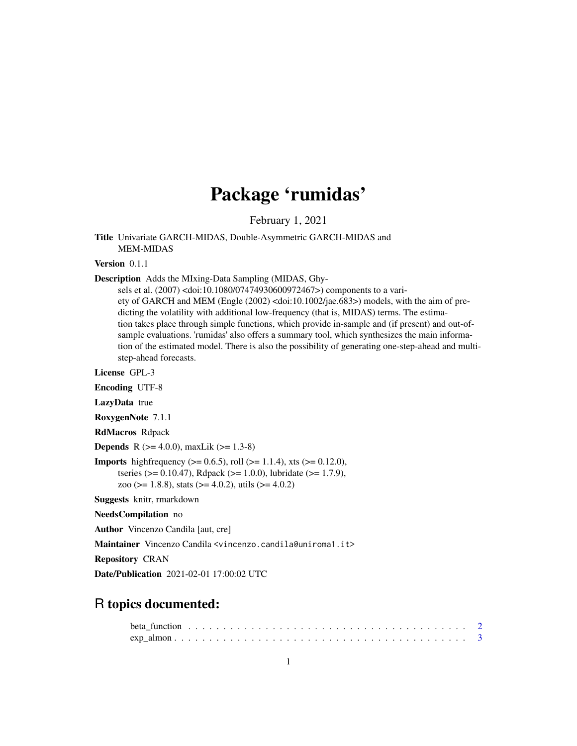## Package 'rumidas'

February 1, 2021

Title Univariate GARCH-MIDAS, Double-Asymmetric GARCH-MIDAS and MEM-MIDAS

Version 0.1.1

Description Adds the MIxing-Data Sampling (MIDAS, Ghy-

sels et al. (2007) <doi:10.1080/07474930600972467>) components to a variety of GARCH and MEM (Engle (2002) <doi:10.1002/jae.683>) models, with the aim of predicting the volatility with additional low-frequency (that is, MIDAS) terms. The estimation takes place through simple functions, which provide in-sample and (if present) and out-ofsample evaluations. 'rumidas' also offers a summary tool, which synthesizes the main information of the estimated model. There is also the possibility of generating one-step-ahead and multistep-ahead forecasts.

License GPL-3 Encoding UTF-8 LazyData true RoxygenNote 7.1.1 RdMacros Rdpack **Depends** R  $(>= 4.0.0)$ , maxLik  $(>= 1.3-8)$ **Imports** highfrequency ( $> = 0.6.5$ ), roll ( $> = 1.1.4$ ), xts ( $> = 0.12.0$ ), tseries (>= 0.10.47), Rdpack (>= 1.0.0), lubridate (>= 1.7.9), zoo ( $> = 1.8.8$ ), stats ( $> = 4.0.2$ ), utils ( $> = 4.0.2$ ) Suggests knitr, rmarkdown

NeedsCompilation no

Author Vincenzo Candila [aut, cre]

Maintainer Vincenzo Candila <vincenzo.candila@uniroma1.it>

Repository CRAN

Date/Publication 2021-02-01 17:00:02 UTC

### R topics documented: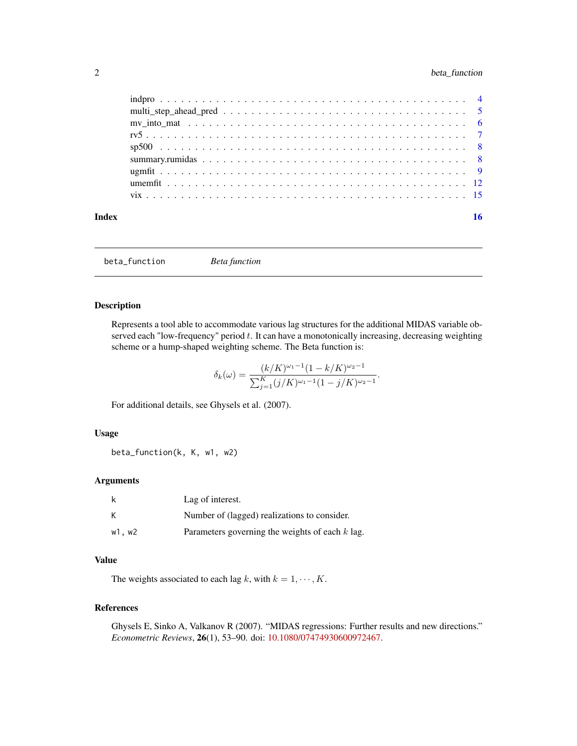<span id="page-1-0"></span>

| Index | 16 |
|-------|----|
|       |    |
|       |    |
|       |    |
|       |    |
|       |    |
|       |    |
|       |    |
|       |    |
|       |    |

<span id="page-1-1"></span>beta\_function *Beta function*

#### Description

Represents a tool able to accommodate various lag structures for the additional MIDAS variable observed each "low-frequency" period  $t$ . It can have a monotonically increasing, decreasing weighting scheme or a hump-shaped weighting scheme. The Beta function is:

$$
\delta_k(\omega) = \frac{(k/K)^{\omega_1 - 1}(1 - k/K)^{\omega_2 - 1}}{\sum_{j=1}^K (j/K)^{\omega_1 - 1}(1 - j/K)^{\omega_2 - 1}}.
$$

For additional details, see Ghysels et al. (2007).

#### Usage

beta\_function(k, K, w1, w2)

#### Arguments

| k      | Lag of interest.                                  |
|--------|---------------------------------------------------|
| К      | Number of (lagged) realizations to consider.      |
| w1, w2 | Parameters governing the weights of each $k$ lag. |

### Value

The weights associated to each lag k, with  $k = 1, \dots, K$ .

#### References

Ghysels E, Sinko A, Valkanov R (2007). "MIDAS regressions: Further results and new directions." *Econometric Reviews*, 26(1), 53–90. doi: [10.1080/07474930600972467.](https://doi.org/10.1080/07474930600972467)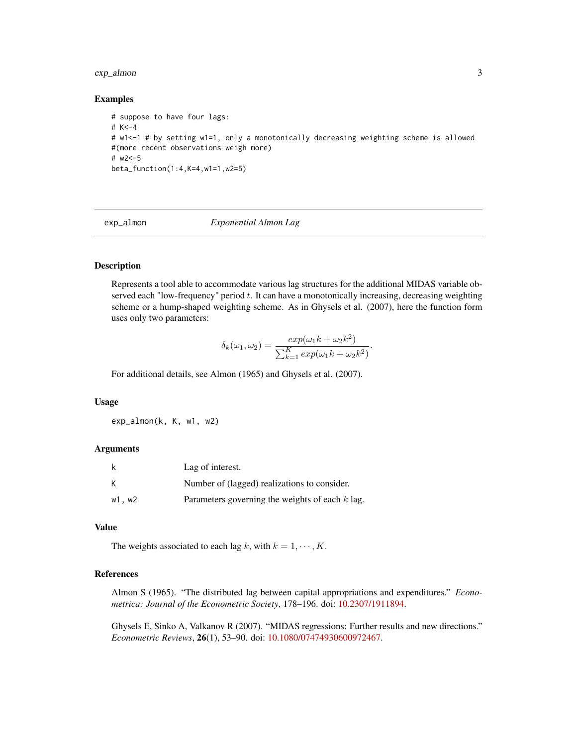#### <span id="page-2-0"></span>exp\_almon 3

#### Examples

```
# suppose to have four lags:
# K<-4
# w1<-1 # by setting w1=1, only a monotonically decreasing weighting scheme is allowed
#(more recent observations weigh more)
# w2<-5
beta_function(1:4,K=4,w1=1,w2=5)
```
<span id="page-2-1"></span>

exp\_almon *Exponential Almon Lag*

#### Description

Represents a tool able to accommodate various lag structures for the additional MIDAS variable observed each "low-frequency" period  $t$ . It can have a monotonically increasing, decreasing weighting scheme or a hump-shaped weighting scheme. As in Ghysels et al. (2007), here the function form uses only two parameters:

$$
\delta_k(\omega_1, \omega_2) = \frac{exp(\omega_1 k + \omega_2 k^2)}{\sum_{k=1}^K exp(\omega_1 k + \omega_2 k^2)}.
$$

For additional details, see Almon (1965) and Ghysels et al. (2007).

#### Usage

exp\_almon(k, K, w1, w2)

#### Arguments

| k      | Lag of interest.                                  |
|--------|---------------------------------------------------|
| К      | Number of (lagged) realizations to consider.      |
| w1, w2 | Parameters governing the weights of each $k$ lag. |

#### Value

The weights associated to each lag k, with  $k = 1, \dots, K$ .

#### References

Almon S (1965). "The distributed lag between capital appropriations and expenditures." *Econometrica: Journal of the Econometric Society*, 178–196. doi: [10.2307/1911894.](https://doi.org/10.2307/1911894)

Ghysels E, Sinko A, Valkanov R (2007). "MIDAS regressions: Further results and new directions." *Econometric Reviews*, 26(1), 53–90. doi: [10.1080/07474930600972467.](https://doi.org/10.1080/07474930600972467)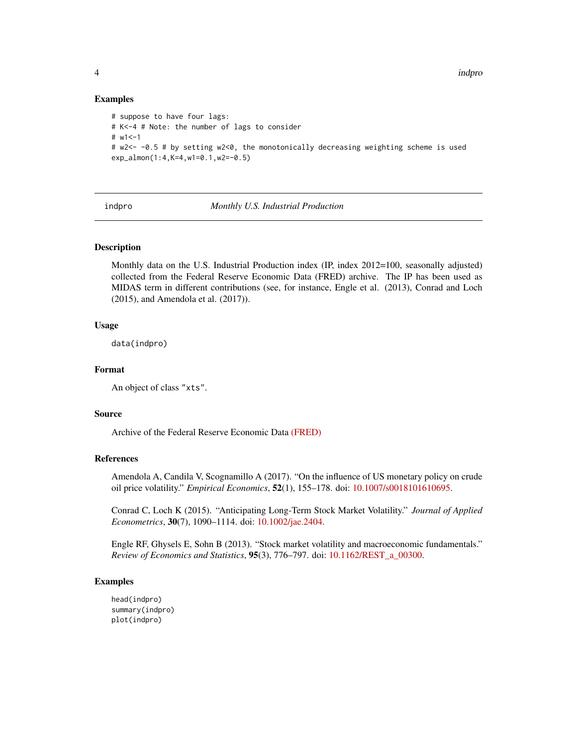#### Examples

```
# suppose to have four lags:
# K<-4 # Note: the number of lags to consider
# w1 < -1# w2<- -0.5 # by setting w2<0, the monotonically decreasing weighting scheme is used
exp_almon(1:4,K=4,w1=0.1,w2=-0.5)
```
indpro *Monthly U.S. Industrial Production*

#### Description

Monthly data on the U.S. Industrial Production index (IP, index 2012=100, seasonally adjusted) collected from the Federal Reserve Economic Data (FRED) archive. The IP has been used as MIDAS term in different contributions (see, for instance, Engle et al. (2013), Conrad and Loch (2015), and Amendola et al. (2017)).

#### Usage

data(indpro)

#### Format

An object of class "xts".

#### Source

Archive of the Federal Reserve Economic Data [\(FRED\)](https://fred.stlouisfed.org/series/INDPRO)

#### References

Amendola A, Candila V, Scognamillo A (2017). "On the influence of US monetary policy on crude oil price volatility." *Empirical Economics*, 52(1), 155–178. doi: [10.1007/s0018101610695.](https://doi.org/10.1007/s00181-016-1069-5)

Conrad C, Loch K (2015). "Anticipating Long-Term Stock Market Volatility." *Journal of Applied Econometrics*, 30(7), 1090–1114. doi: [10.1002/jae.2404.](https://doi.org/10.1002/jae.2404)

Engle RF, Ghysels E, Sohn B (2013). "Stock market volatility and macroeconomic fundamentals." *Review of Economics and Statistics*, 95(3), 776–797. doi: [10.1162/REST\\_a\\_00300.](https://doi.org/10.1162/REST_a_00300)

#### Examples

head(indpro) summary(indpro) plot(indpro)

<span id="page-3-0"></span>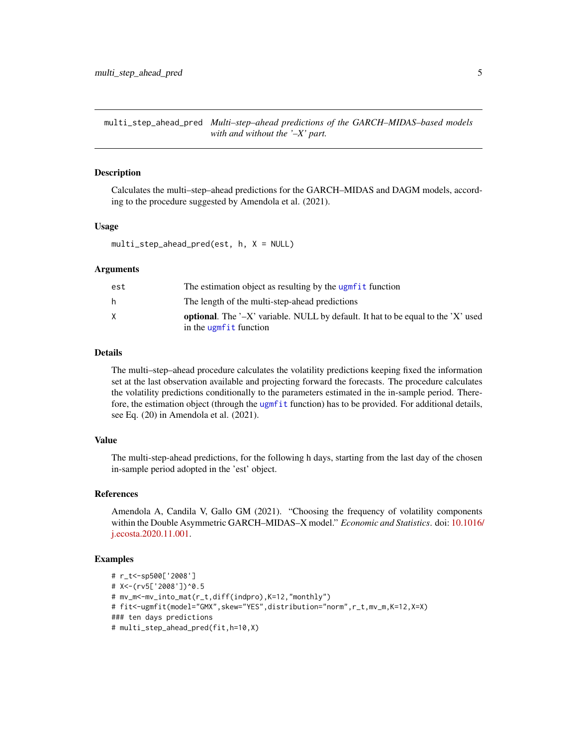<span id="page-4-0"></span>multi\_step\_ahead\_pred *Multi–step–ahead predictions of the GARCH–MIDAS–based models with and without the '–X' part.*

#### Description

Calculates the multi–step–ahead predictions for the GARCH–MIDAS and DAGM models, according to the procedure suggested by Amendola et al. (2021).

#### Usage

```
multi_step_ahead_pred(est, h, X = NULL)
```
#### Arguments

| est | The estimation object as resulting by the ugmfit function                                                              |
|-----|------------------------------------------------------------------------------------------------------------------------|
| h.  | The length of the multi-step-ahead predictions                                                                         |
| X   | <b>optional.</b> The $\div X$ variable. NULL by default. It hat to be equal to the $X'$ used<br>in the ugmfit function |

#### Details

The multi–step–ahead procedure calculates the volatility predictions keeping fixed the information set at the last observation available and projecting forward the forecasts. The procedure calculates the volatility predictions conditionally to the parameters estimated in the in-sample period. Therefore, the estimation object (through the [ugmfit](#page-8-1) function) has to be provided. For additional details, see Eq. (20) in Amendola et al. (2021).

#### Value

The multi-step-ahead predictions, for the following h days, starting from the last day of the chosen in-sample period adopted in the 'est' object.

#### References

Amendola A, Candila V, Gallo GM (2021). "Choosing the frequency of volatility components within the Double Asymmetric GARCH–MIDAS–X model." *Economic and Statistics*. doi: [10.1016/](https://doi.org/10.1016/j.ecosta.2020.11.001) [j.ecosta.2020.11.001.](https://doi.org/10.1016/j.ecosta.2020.11.001)

```
# r_t<-sp500['2008']
# X<-(rv5['2008'])^0.5
# mv_m<-mv_into_mat(r_t,diff(indpro),K=12,"monthly")
# fit<-ugmfit(model="GMX",skew="YES",distribution="norm",r_t,mv_m,K=12,X=X)
### ten days predictions
# multi_step_ahead_pred(fit,h=10,X)
```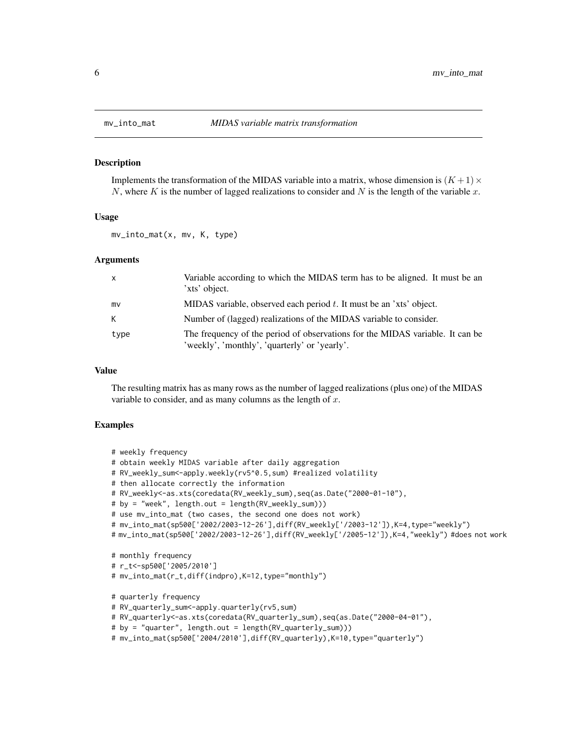#### Description

Implements the transformation of the MIDAS variable into a matrix, whose dimension is  $(K+1) \times$ N, where K is the number of lagged realizations to consider and N is the length of the variable x.

#### Usage

mv\_into\_mat(x, mv, K, type)

#### Arguments

| $\mathsf{X}$ | Variable according to which the MIDAS term has to be aligned. It must be an<br>'xts' object.                                   |
|--------------|--------------------------------------------------------------------------------------------------------------------------------|
| mv           | MIDAS variable, observed each period $t$ . It must be an 'xts' object.                                                         |
| K            | Number of (lagged) realizations of the MIDAS variable to consider.                                                             |
| type         | The frequency of the period of observations for the MIDAS variable. It can be<br>'weekly', 'monthly', 'quarterly' or 'yearly'. |

#### Value

The resulting matrix has as many rows as the number of lagged realizations (plus one) of the MIDAS variable to consider, and as many columns as the length of  $x$ .

```
# weekly frequency
# obtain weekly MIDAS variable after daily aggregation
# RV_weekly_sum<-apply.weekly(rv5^0.5,sum) #realized volatility
# then allocate correctly the information
# RV_weekly<-as.xts(coredata(RV_weekly_sum),seq(as.Date("2000-01-10"),
# by = "week", length.out = length(RV_weekly_sum)))
# use mv_into_mat (two cases, the second one does not work)
# mv_into_mat(sp500['2002/2003-12-26'],diff(RV_weekly['/2003-12']),K=4,type="weekly")
# mv_into_mat(sp500['2002/2003-12-26'],diff(RV_weekly['/2005-12']),K=4,"weekly") #does not work
```

```
# monthly frequency
```

```
# r_t<-sp500['2005/2010']
```

```
# mv_into_mat(r_t,diff(indpro),K=12,type="monthly")
```

```
# quarterly frequency
```

```
# RV_quarterly_sum<-apply.quarterly(rv5,sum)
```

```
# RV_quarterly<-as.xts(coredata(RV_quarterly_sum),seq(as.Date("2000-04-01"),
```

```
# by = "quarter", length.out = length(RV_quarterly_sum)))
```

```
# mv_into_mat(sp500['2004/2010'],diff(RV_quarterly),K=10,type="quarterly")
```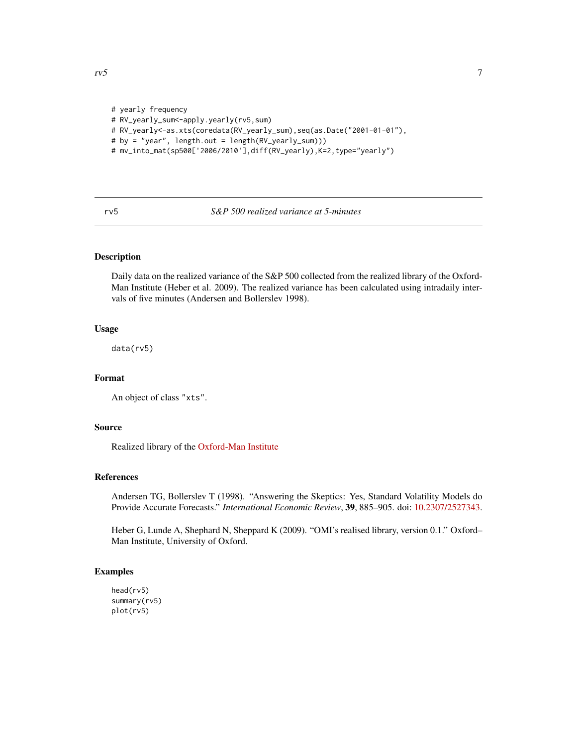```
# yearly frequency
# RV_yearly_sum<-apply.yearly(rv5,sum)
# RV_yearly<-as.xts(coredata(RV_yearly_sum),seq(as.Date("2001-01-01"),
# by = "year", length.out = length(RV_yearly_sum)))
# mv_into_mat(sp500['2006/2010'],diff(RV_yearly),K=2,type="yearly")
```
rv5 *S&P 500 realized variance at 5-minutes*

#### Description

Daily data on the realized variance of the S&P 500 collected from the realized library of the Oxford-Man Institute (Heber et al. 2009). The realized variance has been calculated using intradaily intervals of five minutes (Andersen and Bollerslev 1998).

#### Usage

data(rv5)

#### Format

An object of class "xts".

#### Source

Realized library of the [Oxford-Man Institute](https://realized.oxford-man.ox.ac.uk/data/download)

#### References

Andersen TG, Bollerslev T (1998). "Answering the Skeptics: Yes, Standard Volatility Models do Provide Accurate Forecasts." *International Economic Review*, 39, 885–905. doi: [10.2307/2527343.](https://doi.org/10.2307/2527343)

Heber G, Lunde A, Shephard N, Sheppard K (2009). "OMI's realised library, version 0.1." Oxford– Man Institute, University of Oxford.

```
head(rv5)
summary(rv5)
plot(rv5)
```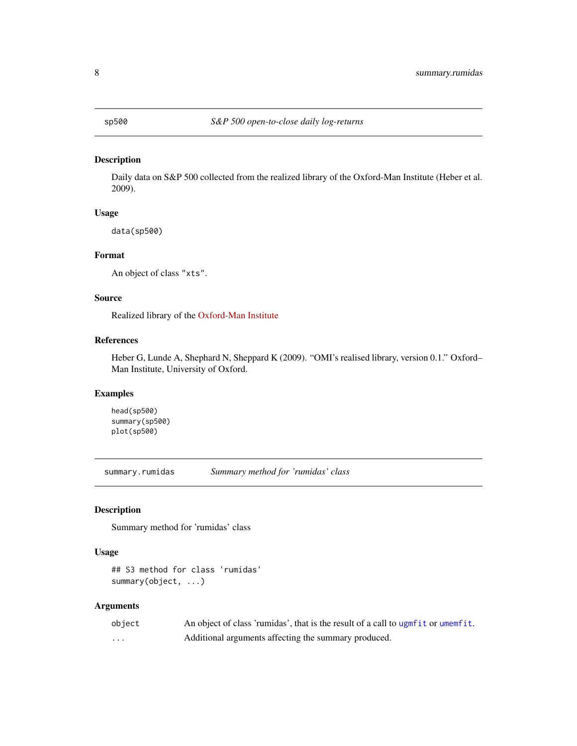#### <span id="page-7-0"></span>Description

Daily data on S&P 500 collected from the realized library of the Oxford-Man Institute (Heber et al. 2009).

#### Usage

data(sp500)

#### Format

An object of class "xts".

#### Source

Realized library of the [Oxford-Man Institute](https://realized.oxford-man.ox.ac.uk/data/download)

#### References

Heber G, Lunde A, Shephard N, Sheppard K (2009). "OMI's realised library, version 0.1." Oxford– Man Institute, University of Oxford.

#### Examples

head(sp500) summary(sp500) plot(sp500)

<span id="page-7-1"></span>summary.rumidas *Summary method for 'rumidas' class*

#### Description

Summary method for 'rumidas' class

#### Usage

## S3 method for class 'rumidas' summary(object, ...)

#### Arguments

| object | An object of class 'rumidas', that is the result of a call to ugnfit or umemfit. |
|--------|----------------------------------------------------------------------------------|
| .      | Additional arguments affecting the summary produced.                             |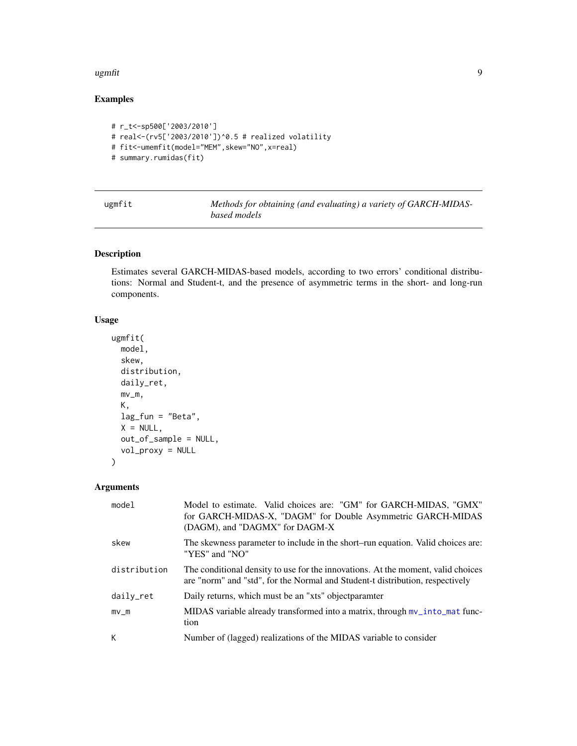#### <span id="page-8-0"></span>ugmfit the contract of the contract of the contract of the contract of the contract of the contract of the contract of the contract of the contract of the contract of the contract of the contract of the contract of the con

### Examples

```
# r_t<-sp500['2003/2010']
# real<-(rv5['2003/2010'])^0.5 # realized volatility
# fit<-umemfit(model="MEM", skew="NO", x=real)
# summary.rumidas(fit)
```
<span id="page-8-1"></span>

| ugmfit | Methods for obtaining (and evaluating) a variety of GARCH-MIDAS- |
|--------|------------------------------------------------------------------|
|        | based models                                                     |

#### Description

Estimates several GARCH-MIDAS-based models, according to two errors' conditional distributions: Normal and Student-t, and the presence of asymmetric terms in the short- and long-run components.

#### Usage

```
ugmfit(
 model,
  skew,
  distribution,
  daily_ret,
 mv_m,
 K,
  lag_fun = "Beta",
  X = NULL,out_of_sample = NULL,
  vol_proxy = NULL
)
```
#### Arguments

| model        | Model to estimate. Valid choices are: "GM" for GARCH-MIDAS, "GMX"<br>for GARCH-MIDAS-X, "DAGM" for Double Asymmetric GARCH-MIDAS<br>(DAGM), and "DAGMX" for DAGM-X |
|--------------|--------------------------------------------------------------------------------------------------------------------------------------------------------------------|
| skew         | The skewness parameter to include in the short–run equation. Valid choices are:<br>"YES" and "NO"                                                                  |
| distribution | The conditional density to use for the innovations. At the moment, valid choices<br>are "norm" and "std", for the Normal and Student-t distribution, respectively  |
| daily_ret    | Daily returns, which must be an "xts" object paramter                                                                                                              |
| $mv$ _m      | MIDAS variable already transformed into a matrix, through $mv\_into\_mat$ func-<br>tion                                                                            |
| К            | Number of (lagged) realizations of the MIDAS variable to consider                                                                                                  |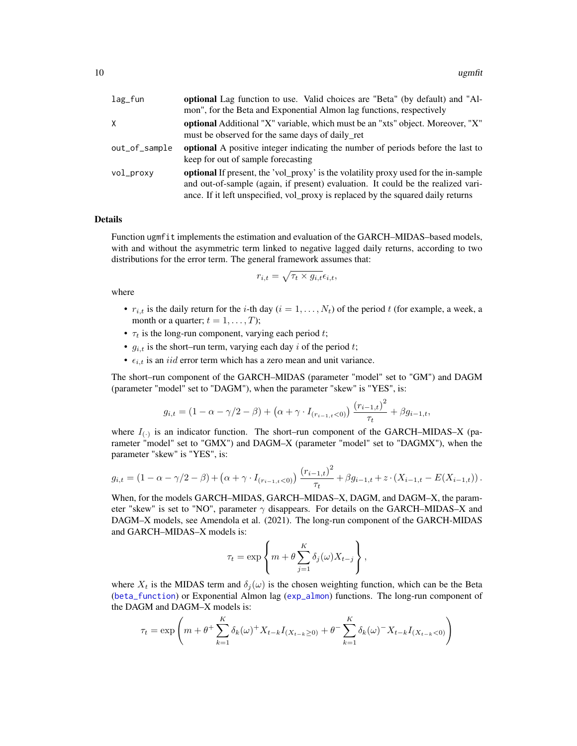<span id="page-9-0"></span>

| $lag_fun$     | optional Lag function to use. Valid choices are "Beta" (by default) and "Al-               |
|---------------|--------------------------------------------------------------------------------------------|
|               | mon", for the Beta and Exponential Almon lag functions, respectively                       |
| X             | optional Additional "X" variable, which must be an "xts" object. Moreover, "X"             |
|               | must be observed for the same days of daily ret                                            |
| out_of_sample | <b>optional</b> A positive integer indicating the number of periods before the last to     |
|               | keep for out of sample forecasting                                                         |
| vol_proxy     | <b>optional</b> If present, the 'vol_proxy' is the volatility proxy used for the in-sample |
|               | and out-of-sample (again, if present) evaluation. It could be the realized vari-           |
|               | ance. If it left unspecified, vol_proxy is replaced by the squared daily returns           |

#### Details

Function ugmfit implements the estimation and evaluation of the GARCH–MIDAS–based models, with and without the asymmetric term linked to negative lagged daily returns, according to two distributions for the error term. The general framework assumes that:

$$
r_{i,t} = \sqrt{\tau_t \times g_{i,t}} \epsilon_{i,t},
$$

where

- $r_{i,t}$  is the daily return for the *i*-th day ( $i = 1, \ldots, N_t$ ) of the period t (for example, a week, a month or a quarter;  $t = 1, \ldots, T$ ;
- $\tau_t$  is the long-run component, varying each period t;
- $g_{i,t}$  is the short–run term, varying each day i of the period t;
- $\epsilon_{i,t}$  is an *iid* error term which has a zero mean and unit variance.

The short–run component of the GARCH–MIDAS (parameter "model" set to "GM") and DAGM (parameter "model" set to "DAGM"), when the parameter "skew" is "YES", is:

$$
g_{i,t} = (1 - \alpha - \gamma/2 - \beta) + (\alpha + \gamma \cdot I_{(r_{i-1,t} < 0)}) \frac{(r_{i-1,t})^2}{\tau_t} + \beta g_{i-1,t},
$$

where  $I_{(\cdot)}$  is an indicator function. The short–run component of the GARCH–MIDAS–X (parameter "model" set to "GMX") and DAGM–X (parameter "model" set to "DAGMX"), when the parameter "skew" is "YES", is:

$$
g_{i,t} = (1 - \alpha - \gamma/2 - \beta) + (\alpha + \gamma \cdot I_{(r_{i-1,t} < 0)}) \frac{(r_{i-1,t})^2}{\tau_t} + \beta g_{i-1,t} + z \cdot (X_{i-1,t} - E(X_{i-1,t})).
$$

When, for the models GARCH–MIDAS, GARCH–MIDAS–X, DAGM, and DAGM–X, the parameter "skew" is set to "NO", parameter  $\gamma$  disappears. For details on the GARCH–MIDAS–X and DAGM–X models, see Amendola et al. (2021). The long-run component of the GARCH-MIDAS and GARCH–MIDAS–X models is:

$$
\tau_t = \exp\left\{m + \theta \sum_{j=1}^K \delta_j(\omega) X_{t-j}\right\},\,
$$

where  $X_t$  is the MIDAS term and  $\delta_j(\omega)$  is the chosen weighting function, which can be the Beta ([beta\\_function](#page-1-1)) or Exponential Almon lag ([exp\\_almon](#page-2-1)) functions. The long-run component of the DAGM and DAGM–X models is:

$$
\tau_t = \exp\left(m + \theta^+ \sum_{k=1}^K \delta_k(\omega)^+ X_{t-k} I_{(X_{t-k} \ge 0)} + \theta^- \sum_{k=1}^K \delta_k(\omega)^- X_{t-k} I_{(X_{t-k} < 0)}\right)
$$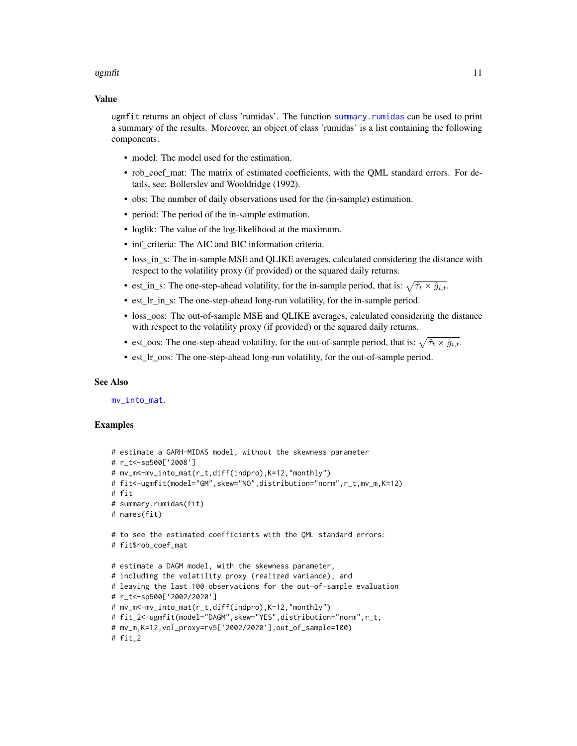#### <span id="page-10-0"></span>ugmfit the contract of the contract of the contract of the contract of the contract of the contract of the contract of the contract of the contract of the contract of the contract of the contract of the contract of the con

#### Value

ugmfit returns an object of class 'rumidas'. The function [summary.rumidas](#page-7-1) can be used to print a summary of the results. Moreover, an object of class 'rumidas' is a list containing the following components:

- model: The model used for the estimation.
- rob\_coef\_mat: The matrix of estimated coefficients, with the QML standard errors. For details, see: Bollerslev and Wooldridge (1992).
- obs: The number of daily observations used for the (in-sample) estimation.
- period: The period of the in-sample estimation.
- loglik: The value of the log-likelihood at the maximum.
- inf criteria: The AIC and BIC information criteria.
- loss\_in\_s: The in-sample MSE and QLIKE averages, calculated considering the distance with respect to the volatility proxy (if provided) or the squared daily returns.
- est\_in\_s: The one-step-ahead volatility, for the in-sample period, that is:  $\sqrt{\hat{\tau}_t \times \hat{g}_{i,t}}$ .
- est\_lr\_in\_s: The one-step-ahead long-run volatility, for the in-sample period.
- loss oos: The out-of-sample MSE and OLIKE averages, calculated considering the distance with respect to the volatility proxy (if provided) or the squared daily returns.
- est\_oos: The one-step-ahead volatility, for the out-of-sample period, that is:  $\sqrt{\hat{\tau}_t \times \hat{g}_{i,t}}$ .
- est\_lr\_oos: The one-step-ahead long-run volatility, for the out-of-sample period.

#### See Also

[mv\\_into\\_mat](#page-5-1).

```
# estimate a GARH-MIDAS model, without the skewness parameter
# r_t<-sp500['2008']
# mv_m<-mv_into_mat(r_t,diff(indpro),K=12,"monthly")
# fit<-ugmfit(model="GM",skew="NO",distribution="norm",r_t,mv_m,K=12)
# fit
# summary.rumidas(fit)
# names(fit)
# to see the estimated coefficients with the QML standard errors:
# fit$rob_coef_mat
# estimate a DAGM model, with the skewness parameter,
# including the volatility proxy (realized variance), and
# leaving the last 100 observations for the out-of-sample evaluation
# r_t<-sp500['2002/2020']
# mv_m<-mv_into_mat(r_t,diff(indpro),K=12,"monthly")
# fit_2<-ugmfit(model="DAGM",skew="YES",distribution="norm",r_t,
# mv_m,K=12,vol_proxy=rv5['2002/2020'],out_of_sample=100)
# fit_2
```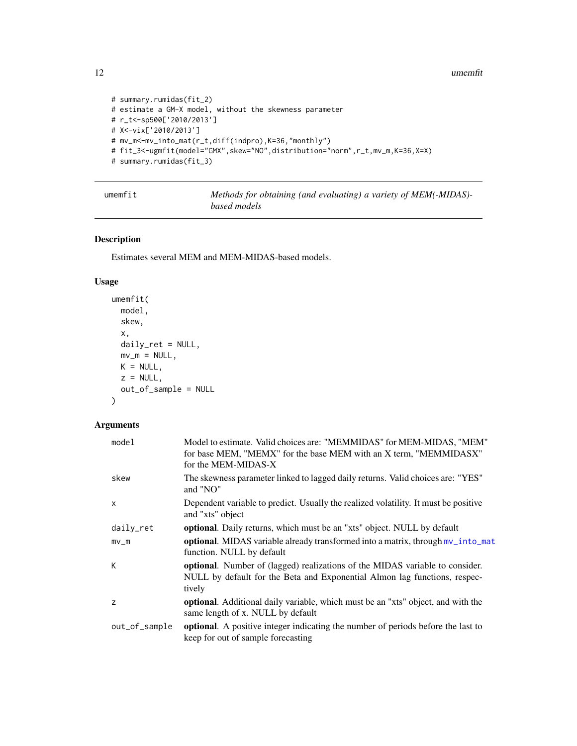```
# summary.rumidas(fit_2)
# estimate a GM-X model, without the skewness parameter
# r_t<-sp500['2010/2013']
# X<-vix['2010/2013']
# mv_m<-mv_into_mat(r_t,diff(indpro),K=36,"monthly")
# fit_3<-ugmfit(model="GMX",skew="NO",distribution="norm",r_t,mv_m,K=36,X=X)
# summary.rumidas(fit_3)
```
<span id="page-11-1"></span>umemfit *Methods for obtaining (and evaluating) a variety of MEM(-MIDAS) based models*

#### Description

Estimates several MEM and MEM-MIDAS-based models.

#### Usage

```
umemfit(
 model,
  skew,
 x,
 daily_ret = NULL,
 mv_m = NULL,K = NULL,z = NULL,out_of_sample = NULL
\lambda
```
#### Arguments

| model         | Model to estimate. Valid choices are: "MEMMIDAS" for MEM-MIDAS, "MEM"<br>for base MEM, "MEMX" for the base MEM with an X term, "MEMMIDASX"<br>for the MEM-MIDAS-X   |
|---------------|---------------------------------------------------------------------------------------------------------------------------------------------------------------------|
| skew          | The skewness parameter linked to lagged daily returns. Valid choices are: "YES"<br>and "NO"                                                                         |
| $\mathsf{x}$  | Dependent variable to predict. Usually the realized volatility. It must be positive<br>and "xts" object                                                             |
| daily_ret     | <b>optional.</b> Daily returns, which must be an "xts" object. NULL by default                                                                                      |
| $mv_{m}$      | optional. MIDAS variable already transformed into a matrix, through mv_into_mat<br>function. NULL by default                                                        |
| К             | optional. Number of (lagged) realizations of the MIDAS variable to consider.<br>NULL by default for the Beta and Exponential Almon lag functions, respec-<br>tively |
| z             | optional. Additional daily variable, which must be an "xts" object, and with the<br>same length of x. NULL by default                                               |
| out_of_sample | <b>optional.</b> A positive integer indicating the number of periods before the last to<br>keep for out of sample forecasting                                       |

<span id="page-11-0"></span>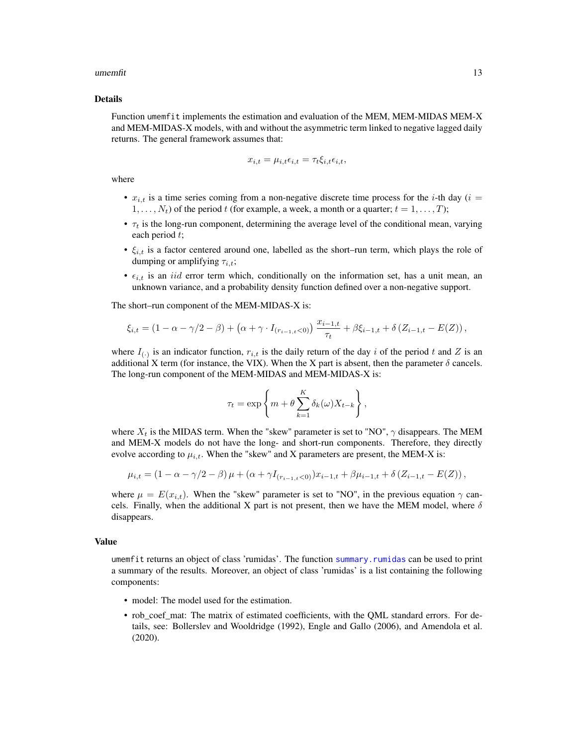#### <span id="page-12-0"></span> $\mu$  umemfit  $\mu$  13

#### Details

Function umemfit implements the estimation and evaluation of the MEM, MEM-MIDAS MEM-X and MEM-MIDAS-X models, with and without the asymmetric term linked to negative lagged daily returns. The general framework assumes that:

$$
x_{i,t} = \mu_{i,t} \epsilon_{i,t} = \tau_t \xi_{i,t} \epsilon_{i,t},
$$

where

- $x_{i,t}$  is a time series coming from a non-negative discrete time process for the *i*-th day (*i* =  $1, \ldots, N_t$ ) of the period t (for example, a week, a month or a quarter;  $t = 1, \ldots, T$ );
- $\tau_t$  is the long-run component, determining the average level of the conditional mean, varying each period t;
- $\xi_{i,t}$  is a factor centered around one, labelled as the short–run term, which plays the role of dumping or amplifying  $\tau_{i,t}$ ;
- $\epsilon_{i,t}$  is an *iid* error term which, conditionally on the information set, has a unit mean, an unknown variance, and a probability density function defined over a non-negative support.

The short–run component of the MEM-MIDAS-X is:

$$
\xi_{i,t} = (1 - \alpha - \gamma/2 - \beta) + (\alpha + \gamma \cdot I_{(r_{i-1,t} < 0)}) \frac{x_{i-1,t}}{\tau_t} + \beta \xi_{i-1,t} + \delta (Z_{i-1,t} - E(Z)),
$$

where  $I_{(\cdot)}$  is an indicator function,  $r_{i,t}$  is the daily return of the day i of the period t and Z is an additional X term (for instance, the VIX). When the X part is absent, then the parameter  $\delta$  cancels. The long-run component of the MEM-MIDAS and MEM-MIDAS-X is:

$$
\tau_t = \exp\left\{m + \theta \sum_{k=1}^K \delta_k(\omega) X_{t-k}\right\},\,
$$

where  $X_t$  is the MIDAS term. When the "skew" parameter is set to "NO",  $\gamma$  disappears. The MEM and MEM-X models do not have the long- and short-run components. Therefore, they directly evolve according to  $\mu_{i,t}$ . When the "skew" and X parameters are present, the MEM-X is:

$$
\mu_{i,t} = (1 - \alpha - \gamma/2 - \beta)\mu + (\alpha + \gamma I_{(r_{i-1,t} < 0)})x_{i-1,t} + \beta\mu_{i-1,t} + \delta(Z_{i-1,t} - E(Z)),
$$

where  $\mu = E(x_{i,t})$ . When the "skew" parameter is set to "NO", in the previous equation  $\gamma$  cancels. Finally, when the additional X part is not present, then we have the MEM model, where  $\delta$ disappears.

#### Value

umemfit returns an object of class 'rumidas'. The function [summary.rumidas](#page-7-1) can be used to print a summary of the results. Moreover, an object of class 'rumidas' is a list containing the following components:

- model: The model used for the estimation.
- rob\_coef\_mat: The matrix of estimated coefficients, with the QML standard errors. For details, see: Bollerslev and Wooldridge (1992), Engle and Gallo (2006), and Amendola et al. (2020).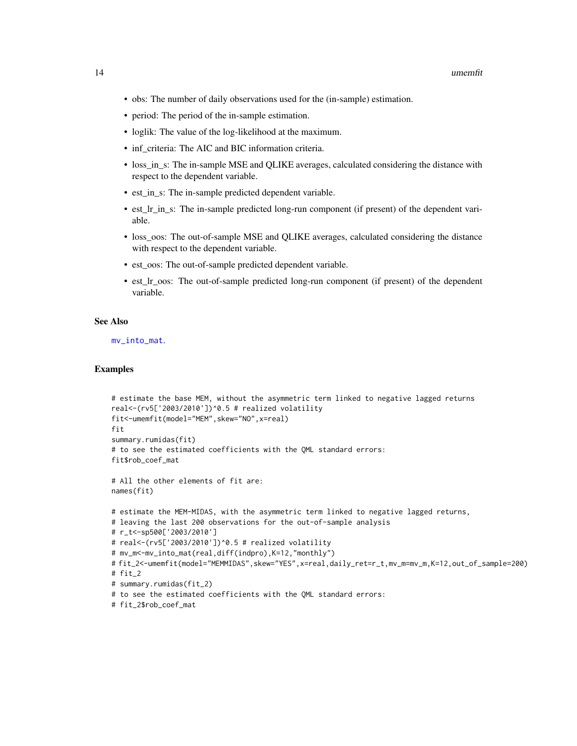- <span id="page-13-0"></span>• obs: The number of daily observations used for the (in-sample) estimation.
- period: The period of the in-sample estimation.
- loglik: The value of the log-likelihood at the maximum.
- inf\_criteria: The AIC and BIC information criteria.
- loss\_in\_s: The in-sample MSE and QLIKE averages, calculated considering the distance with respect to the dependent variable.
- est\_in\_s: The in-sample predicted dependent variable.
- est Ir in s: The in-sample predicted long-run component (if present) of the dependent variable.
- loss\_oos: The out-of-sample MSE and QLIKE averages, calculated considering the distance with respect to the dependent variable.
- est\_oos: The out-of-sample predicted dependent variable.
- est Ir oos: The out-of-sample predicted long-run component (if present) of the dependent variable.

#### See Also

[mv\\_into\\_mat](#page-5-1).

```
# estimate the base MEM, without the asymmetric term linked to negative lagged returns
real<-(rv5['2003/2010'])^0.5 # realized volatility
fit<-umemfit(model="MEM",skew="NO",x=real)
fit
summary.rumidas(fit)
# to see the estimated coefficients with the QML standard errors:
fit$rob_coef_mat
# All the other elements of fit are:
names(fit)
# estimate the MEM-MIDAS, with the asymmetric term linked to negative lagged returns,
# leaving the last 200 observations for the out-of-sample analysis
# r_t<-sp500['2003/2010']
# real<-(rv5['2003/2010'])^0.5 # realized volatility
# mv_m<-mv_into_mat(real,diff(indpro),K=12,"monthly")
# fit_2<-umemfit(model="MEMMIDAS",skew="YES",x=real,daily_ret=r_t,mv_m=mv_m,K=12,out_of_sample=200)
# fit_2
# summary.rumidas(fit_2)
# to see the estimated coefficients with the QML standard errors:
# fit_2$rob_coef_mat
```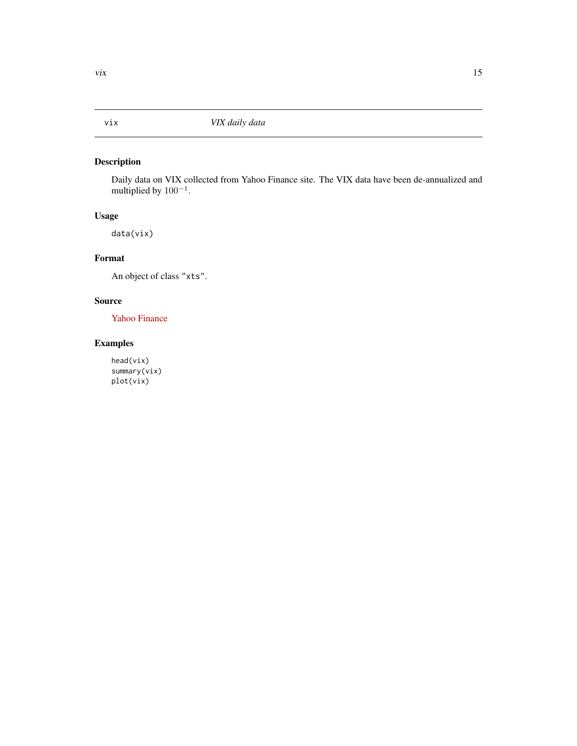#### <span id="page-14-0"></span>Description

Daily data on VIX collected from Yahoo Finance site. The VIX data have been de-annualized and multiplied by  $100^{-1}$ .

#### Usage

data(vix)

#### Format

An object of class "xts".

#### Source

[Yahoo Finance](https://finance.yahoo.com/)

#### Examples

head(vix) summary(vix) plot(vix)